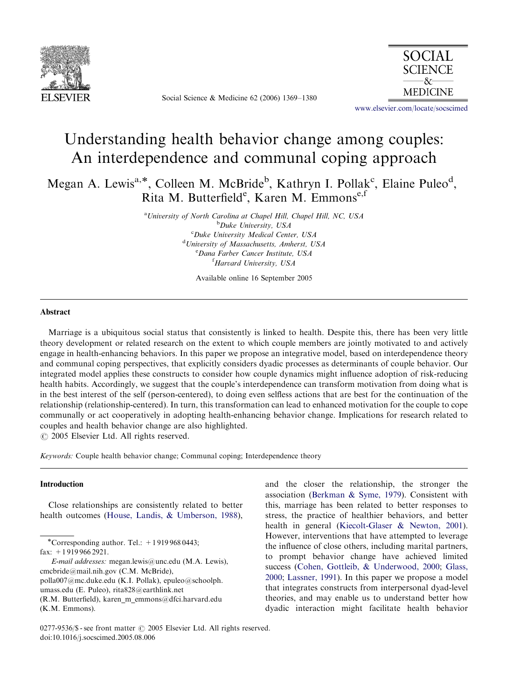

Social Science & Medicine 62 (2006) 1369–1380



<www.elsevier.com/locate/socscimed>

# Understanding health behavior change among couples: An interdependence and communal coping approach

Megan A. Lewis<sup>a,\*</sup>, Colleen M. McBride<sup>b</sup>, Kathryn I. Pollak<sup>c</sup>, Elaine Puleo<sup>d</sup>, Rita M. Butterfield<sup>e</sup>, Karen M. Emmonse,f

> <sup>a</sup> University of North Carolina at Chapel Hill, Chapel Hill, NC, USA <sup>b</sup>Duke University, USA <sup>c</sup>Duke University Medical Center, USA <sup>d</sup>University of Massachusetts, Amherst, USA e Dana Farber Cancer Institute, USA <sup>f</sup>Harvard University, USA

> > Available online 16 September 2005

### Abstract

Marriage is a ubiquitous social status that consistently is linked to health. Despite this, there has been very little theory development or related research on the extent to which couple members are jointly motivated to and actively engage in health-enhancing behaviors. In this paper we propose an integrative model, based on interdependence theory and communal coping perspectives, that explicitly considers dyadic processes as determinants of couple behavior. Our integrated model applies these constructs to consider how couple dynamics might influence adoption of risk-reducing health habits. Accordingly, we suggest that the couple's interdependence can transform motivation from doing what is in the best interest of the self (person-centered), to doing even selfless actions that are best for the continuation of the relationship (relationship-centered). In turn, this transformation can lead to enhanced motivation for the couple to cope communally or act cooperatively in adopting health-enhancing behavior change. Implications for research related to couples and health behavior change are also highlighted.

 $\odot$  2005 Elsevier Ltd. All rights reserved.

Keywords: Couple health behavior change; Communal coping; Interdependence theory

### Introduction

Close relationships are consistently related to better health outcomes [\(House, Landis, & Umberson, 1988](#page--1-0)),

\*Corresponding author. Tel.:  $+19199680443$ ; fax: +1 919 966 2921.

E-mail addresses: megan.lewis@unc.edu (M.A. Lewis), cmcbride@mail.nih.gov (C.M. McBride), polla007@mc.duke.edu (K.I. Pollak), epuleo@schoolph. umass.edu (E. Puleo), rita828@earthlink.net (R.M. Butterfield), karen\_m\_emmons@dfci.harvard.edu (K.M. Emmons).

and the closer the relationship, the stronger the association [\(Berkman](#page--1-0) [& Syme, 1979](#page--1-0)). Consistent with this, marriage has been related to better responses to stress, the practice of healthier behaviors, and better health in general [\(Kiecolt-Glaser](#page--1-0) [& Newton, 2001](#page--1-0)). However, interventions that have attempted to leverage the influence of close others, including marital partners, to prompt behavior change have achieved limited success ([Cohen, Gottleib, & Underwood, 2000;](#page--1-0) [Glass,](#page--1-0) [2000;](#page--1-0) [Lassner, 1991\)](#page--1-0). In this paper we propose a model that integrates constructs from interpersonal dyad-level theories, and may enable us to understand better how dyadic interaction might facilitate health behavior

<sup>0277-9536/\$ -</sup> see front matter  $\odot$  2005 Elsevier Ltd. All rights reserved. doi:10.1016/j.socscimed.2005.08.006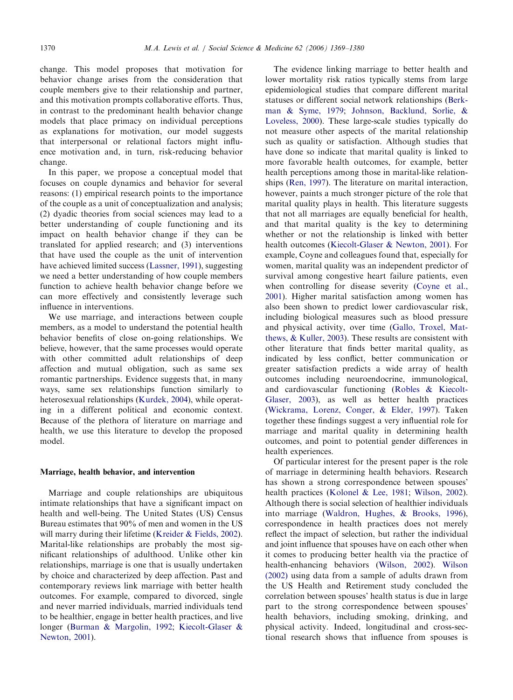change. This model proposes that motivation for behavior change arises from the consideration that couple members give to their relationship and partner, and this motivation prompts collaborative efforts. Thus, in contrast to the predominant health behavior change models that place primacy on individual perceptions as explanations for motivation, our model suggests that interpersonal or relational factors might influence motivation and, in turn, risk-reducing behavior change.

In this paper, we propose a conceptual model that focuses on couple dynamics and behavior for several reasons: (1) empirical research points to the importance of the couple as a unit of conceptualization and analysis; (2) dyadic theories from social sciences may lead to a better understanding of couple functioning and its impact on health behavior change if they can be translated for applied research; and (3) interventions that have used the couple as the unit of intervention have achieved limited success [\(Lassner, 1991\)](#page--1-0), suggesting we need a better understanding of how couple members function to achieve health behavior change before we can more effectively and consistently leverage such influence in interventions.

We use marriage, and interactions between couple members, as a model to understand the potential health behavior benefits of close on-going relationships. We believe, however, that the same processes would operate with other committed adult relationships of deep affection and mutual obligation, such as same sex romantic partnerships. Evidence suggests that, in many ways, same sex relationships function similarly to heterosexual relationships [\(Kurdek, 2004\)](#page--1-0), while operating in a different political and economic context. Because of the plethora of literature on marriage and health, we use this literature to develop the proposed model.

#### Marriage, health behavior, and intervention

Marriage and couple relationships are ubiquitous intimate relationships that have a significant impact on health and well-being. The United States (US) Census Bureau estimates that 90% of men and women in the US will marry during their lifetime [\(Kreider](#page--1-0) [& Fields, 2002](#page--1-0)). Marital-like relationships are probably the most significant relationships of adulthood. Unlike other kin relationships, marriage is one that is usually undertaken by choice and characterized by deep affection. Past and contemporary reviews link marriage with better health outcomes. For example, compared to divorced, single and never married individuals, married individuals tend to be healthier, engage in better health practices, and live longer [\(Burman](#page--1-0) [& Margolin, 1992;](#page--1-0) [Kiecolt-Glaser &](#page--1-0) [Newton, 2001](#page--1-0)).

The evidence linking marriage to better health and lower mortality risk ratios typically stems from large epidemiological studies that compare different marital statuses or different social network relationships ([Berk](#page--1-0)[man & Syme, 1979;](#page--1-0) [Johnson, Backlund, Sorlie, &](#page--1-0) [Loveless, 2000\)](#page--1-0). These large-scale studies typically do not measure other aspects of the marital relationship such as quality or satisfaction. Although studies that have done so indicate that marital quality is linked to more favorable health outcomes, for example, better health perceptions among those in marital-like relationships ([Ren, 1997\)](#page--1-0). The literature on marital interaction, however, paints a much stronger picture of the role that marital quality plays in health. This literature suggests that not all marriages are equally beneficial for health, and that marital quality is the key to determining whether or not the relationship is linked with better health outcomes ([Kiecolt-Glaser](#page--1-0) & [Newton, 2001](#page--1-0)). For example, Coyne and colleagues found that, especially for women, marital quality was an independent predictor of survival among congestive heart failure patients, even when controlling for disease severity [\(Coyne et al.,](#page--1-0) [2001\)](#page--1-0). Higher marital satisfaction among women has also been shown to predict lower cardiovascular risk, including biological measures such as blood pressure and physical activity, over time ([Gallo, Troxel, Mat](#page--1-0)[thews,](#page--1-0) [& Kuller, 2003](#page--1-0)). These results are consistent with other literature that finds better marital quality, as indicated by less conflict, better communication or greater satisfaction predicts a wide array of health outcomes including neuroendocrine, immunological, and cardiovascular functioning ([Robles](#page--1-0) [& Kiecolt-](#page--1-0)[Glaser, 2003\)](#page--1-0), as well as better health practices ([Wickrama, Lorenz, Conger,](#page--1-0) [& Elder, 1997\)](#page--1-0). Taken together these findings suggest a very influential role for marriage and marital quality in determining health outcomes, and point to potential gender differences in health experiences.

Of particular interest for the present paper is the role of marriage in determining health behaviors. Research has shown a strong correspondence between spouses' health practices ([Kolonel & Lee, 1981;](#page--1-0) [Wilson, 2002](#page--1-0)). Although there is social selection of healthier individuals into marriage [\(Waldron, Hughes, & Brooks, 1996](#page--1-0)), correspondence in health practices does not merely reflect the impact of selection, but rather the individual and joint influence that spouses have on each other when it comes to producing better health via the practice of health-enhancing behaviors [\(Wilson, 2002\)](#page--1-0). [Wilson](#page--1-0) [\(2002\)](#page--1-0) using data from a sample of adults drawn from the US Health and Retirement study concluded the correlation between spouses' health status is due in large part to the strong correspondence between spouses' health behaviors, including smoking, drinking, and physical activity. Indeed, longitudinal and cross-sectional research shows that influence from spouses is